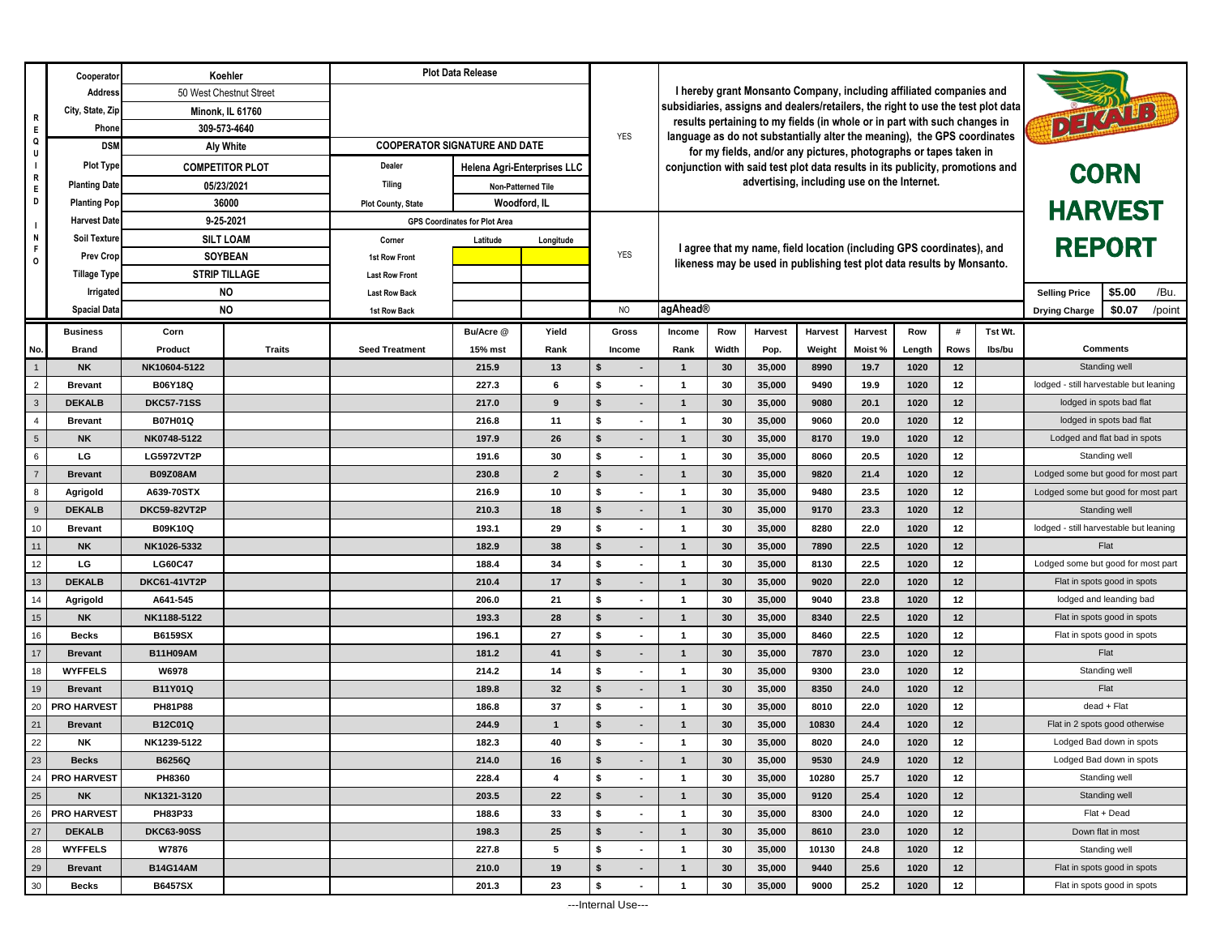|                 | Cooperato                    | Koehler                                                                                                                                                                                   |                         | <b>Plot Data Release</b>             |                |                                                                                  |                                                                           |                                                                                                                                               |                                                                                                                                                 |                                                                               |              |              |              |             |                      |                                                     |                                    |  |  |
|-----------------|------------------------------|-------------------------------------------------------------------------------------------------------------------------------------------------------------------------------------------|-------------------------|--------------------------------------|----------------|----------------------------------------------------------------------------------|---------------------------------------------------------------------------|-----------------------------------------------------------------------------------------------------------------------------------------------|-------------------------------------------------------------------------------------------------------------------------------------------------|-------------------------------------------------------------------------------|--------------|--------------|--------------|-------------|----------------------|-----------------------------------------------------|------------------------------------|--|--|
|                 | Address                      |                                                                                                                                                                                           | 50 West Chestnut Street |                                      |                |                                                                                  | I hereby grant Monsanto Company, including affiliated companies and       |                                                                                                                                               |                                                                                                                                                 |                                                                               |              |              |              |             |                      |                                                     |                                    |  |  |
| R               | City, State, Zip             | <b>Minonk, IL 61760</b><br>309-573-4640                                                                                                                                                   |                         |                                      |                | subsidiaries, assigns and dealers/retailers, the right to use the test plot data |                                                                           |                                                                                                                                               |                                                                                                                                                 |                                                                               |              |              | DE VID       |             |                      |                                                     |                                    |  |  |
| E.              | Phone                        |                                                                                                                                                                                           |                         |                                      | <b>YES</b>     |                                                                                  | results pertaining to my fields (in whole or in part with such changes in |                                                                                                                                               |                                                                                                                                                 |                                                                               |              |              |              |             |                      |                                                     |                                    |  |  |
| Q<br>U          | <b>DSM</b>                   | Aly White                                                                                                                                                                                 |                         | <b>COOPERATOR SIGNATURE AND DATE</b> |                |                                                                                  |                                                                           | language as do not substantially alter the meaning), the GPS coordinates<br>for my fields, and/or any pictures, photographs or tapes taken in |                                                                                                                                                 |                                                                               |              |              |              |             |                      |                                                     |                                    |  |  |
| $\blacksquare$  | <b>Plot Type</b>             |                                                                                                                                                                                           | <b>COMPETITOR PLOT</b>  | <b>Dealer</b>                        |                | Helena Agri-Enterprises LLC                                                      |                                                                           |                                                                                                                                               |                                                                                                                                                 | conjunction with said test plot data results in its publicity, promotions and |              |              |              |             |                      |                                                     |                                    |  |  |
| R<br>E.         | <b>Planting Date</b>         |                                                                                                                                                                                           | 05/23/2021              | Tiling<br>Non-Patterned Tile         |                |                                                                                  |                                                                           | advertising, including use on the Internet.                                                                                                   |                                                                                                                                                 |                                                                               |              |              |              |             |                      | <b>CORN</b>                                         |                                    |  |  |
| D               | 36000<br><b>Planting Pop</b> |                                                                                                                                                                                           |                         | <b>Plot County, State</b>            | Woodford, IL   |                                                                                  |                                                                           |                                                                                                                                               |                                                                                                                                                 |                                                                               |              |              |              |             |                      |                                                     | <b>HARVEST</b>                     |  |  |
| $\mathbf{I}$    | <b>Harvest Date</b>          | 9-25-2021<br><b>Soil Texture</b><br><b>SILT LOAM</b><br><b>SOYBEAN</b><br><b>Prev Crop</b><br><b>STRIP TILLAGE</b><br>Tillage Type<br><b>NO</b><br>Irrigated<br>NO<br><b>Spacial Data</b> |                         |                                      |                |                                                                                  | <b>GPS Coordinates for Plot Area</b>                                      |                                                                                                                                               |                                                                                                                                                 |                                                                               |              |              |              |             |                      |                                                     |                                    |  |  |
| N               |                              |                                                                                                                                                                                           |                         | Latitude<br>Corner                   |                | Longitude                                                                        |                                                                           |                                                                                                                                               |                                                                                                                                                 |                                                                               |              |              |              |             |                      | <b>REPORT</b>                                       |                                    |  |  |
| F.<br>0         |                              |                                                                                                                                                                                           |                         | 1st Row Front                        |                |                                                                                  | <b>YES</b>                                                                |                                                                                                                                               | I agree that my name, field location (including GPS coordinates), and<br>likeness may be used in publishing test plot data results by Monsanto. |                                                                               |              |              |              |             |                      |                                                     |                                    |  |  |
|                 |                              |                                                                                                                                                                                           |                         | <b>Last Row Front</b>                |                |                                                                                  |                                                                           |                                                                                                                                               |                                                                                                                                                 |                                                                               |              |              |              |             |                      |                                                     |                                    |  |  |
|                 |                              |                                                                                                                                                                                           |                         | <b>Last Row Back</b>                 |                |                                                                                  |                                                                           |                                                                                                                                               |                                                                                                                                                 |                                                                               |              |              |              |             |                      | <b>Selling Price</b>                                | \$5.00<br>/Bu.                     |  |  |
|                 |                              |                                                                                                                                                                                           |                         | 1st Row Back                         |                |                                                                                  | N <sub>O</sub>                                                            | agAhead®                                                                                                                                      |                                                                                                                                                 |                                                                               |              |              |              |             | <b>Drying Charge</b> | \$0.07<br>/point                                    |                                    |  |  |
|                 | <b>Business</b>              | Corn                                                                                                                                                                                      |                         |                                      | Bu/Acre @      | Yield                                                                            | Gross                                                                     | Income                                                                                                                                        | Row                                                                                                                                             | Harvest                                                                       | Harvest      | Harvest      | Row          | #           | Tst Wt.              |                                                     |                                    |  |  |
| No.             | <b>Brand</b>                 | Product                                                                                                                                                                                   | <b>Traits</b>           | <b>Seed Treatment</b>                | 15% mst        | Rank                                                                             | Income                                                                    | Rank                                                                                                                                          | Width                                                                                                                                           | Pop.                                                                          | Weight       | Moist %      | Length       | <b>Rows</b> | lbs/bu               | <b>Comments</b>                                     |                                    |  |  |
| $\overline{1}$  | <b>NK</b>                    | NK10604-5122                                                                                                                                                                              |                         |                                      | 215.9          | 13                                                                               | \$                                                                        | $\mathbf{1}$                                                                                                                                  | 30                                                                                                                                              | 35,000                                                                        | 8990         | 19.7         | 1020         | 12          |                      | Standing well                                       |                                    |  |  |
| $\overline{2}$  | <b>Brevant</b>               | B06Y18Q                                                                                                                                                                                   |                         |                                      | 227.3          | 6                                                                                | \$<br>$\blacksquare$                                                      | $\mathbf{1}$                                                                                                                                  | 30                                                                                                                                              | 35,000                                                                        | 9490         | 19.9         | 1020         | 12          |                      | lodged - still harvestable but leaning              |                                    |  |  |
| $\mathbf{3}$    | <b>DEKALB</b>                | <b>DKC57-71SS</b>                                                                                                                                                                         |                         |                                      | 217.0          | 9                                                                                | \$                                                                        | $\mathbf{1}$                                                                                                                                  | 30                                                                                                                                              | 35,000                                                                        | 9080         | 20.1         | 1020         | 12          |                      | lodged in spots bad flat                            |                                    |  |  |
| $\overline{4}$  | <b>Brevant</b>               | B07H01Q                                                                                                                                                                                   |                         |                                      | 216.8          | 11                                                                               | \$<br>$\overline{\phantom{a}}$                                            | $\mathbf{1}$                                                                                                                                  | 30                                                                                                                                              | 35,000                                                                        | 9060         | 20.0         | 1020         | 12          |                      | lodged in spots bad flat                            |                                    |  |  |
| $5\phantom{.0}$ | <b>NK</b>                    | NK0748-5122                                                                                                                                                                               |                         |                                      | 197.9          | 26                                                                               | \$                                                                        | $\mathbf{1}$                                                                                                                                  | 30                                                                                                                                              | 35,000                                                                        | 8170         | 19.0         | 1020         | 12          |                      | Lodged and flat bad in spots                        |                                    |  |  |
| 6               | LG                           | LG5972VT2P                                                                                                                                                                                |                         |                                      | 191.6          | 30                                                                               | \$                                                                        | $\mathbf{1}$                                                                                                                                  | 30                                                                                                                                              | 35,000                                                                        | 8060         | 20.5         | 1020         | 12          |                      | Standing well                                       |                                    |  |  |
| $\overline{7}$  | <b>Brevant</b>               | <b>B09Z08AM</b>                                                                                                                                                                           |                         |                                      | 230.8          | $\overline{2}$                                                                   | \$                                                                        | $\mathbf{1}$                                                                                                                                  | 30                                                                                                                                              | 35,000                                                                        | 9820         | 21.4         | 1020         | 12          |                      | Lodged some but good for most part                  |                                    |  |  |
| 8<br>9          | Agrigold<br><b>DEKALB</b>    | A639-70STX                                                                                                                                                                                |                         |                                      | 216.9          | 10<br>18                                                                         | \$<br>\$                                                                  | $\mathbf{1}$<br>$\mathbf{1}$                                                                                                                  | 30<br>30                                                                                                                                        | 35,000                                                                        | 9480<br>9170 | 23.5<br>23.3 | 1020<br>1020 | 12<br>12    |                      | Lodged some but good for most part<br>Standing well |                                    |  |  |
| 10              | <b>Brevant</b>               | <b>DKC59-82VT2P</b><br>B09K10Q                                                                                                                                                            |                         |                                      | 210.3<br>193.1 | 29                                                                               | \$                                                                        | $\mathbf{1}$                                                                                                                                  | 30                                                                                                                                              | 35,000<br>35,000                                                              | 8280         | 22.0         | 1020         | 12          |                      | lodged - still harvestable but leaning              |                                    |  |  |
| 11              | <b>NK</b>                    | NK1026-5332                                                                                                                                                                               |                         |                                      | 182.9          | 38                                                                               | \$                                                                        | $\mathbf{1}$                                                                                                                                  | 30                                                                                                                                              | 35,000                                                                        | 7890         | 22.5         | 1020         | 12          |                      | Flat                                                |                                    |  |  |
| 12              | LG                           | <b>LG60C47</b>                                                                                                                                                                            |                         |                                      | 188.4          | 34                                                                               | \$                                                                        | $\mathbf{1}$                                                                                                                                  | 30                                                                                                                                              | 35,000                                                                        | 8130         | 22.5         | 1020         | 12          |                      |                                                     | Lodged some but good for most part |  |  |
| 13              | <b>DEKALB</b>                | <b>DKC61-41VT2P</b>                                                                                                                                                                       |                         |                                      | 210.4          | 17                                                                               | \$                                                                        | $\mathbf{1}$                                                                                                                                  | 30                                                                                                                                              | 35,000                                                                        | 9020         | 22.0         | 1020         | 12          |                      |                                                     | Flat in spots good in spots        |  |  |
| 14              | Agrigold                     | A641-545                                                                                                                                                                                  |                         |                                      | 206.0          | 21                                                                               | \$                                                                        | $\mathbf{1}$                                                                                                                                  | 30                                                                                                                                              | 35,000                                                                        | 9040         | 23.8         | 1020         | 12          |                      |                                                     | lodged and leanding bad            |  |  |
| 15              | <b>NK</b>                    | NK1188-5122                                                                                                                                                                               |                         |                                      | 193.3          | 28                                                                               | \$<br>$\overline{\phantom{a}}$                                            | $\mathbf{1}$                                                                                                                                  | 30                                                                                                                                              | 35,000                                                                        | 8340         | 22.5         | 1020         | 12          |                      |                                                     | Flat in spots good in spots        |  |  |
| 16              | <b>Becks</b>                 | <b>B6159SX</b>                                                                                                                                                                            |                         |                                      | 196.1          | 27                                                                               | \$                                                                        | $\mathbf{1}$                                                                                                                                  | 30                                                                                                                                              | 35,000                                                                        | 8460         | 22.5         | 1020         | 12          |                      |                                                     | Flat in spots good in spots        |  |  |
| 17              | <b>Brevant</b>               | <b>B11H09AM</b>                                                                                                                                                                           |                         |                                      | 181.2          | 41                                                                               | $\mathsf{s}$                                                              | $\mathbf{1}$                                                                                                                                  | 30                                                                                                                                              | 35,000                                                                        | 7870         | 23.0         | 1020         | 12          |                      |                                                     | Flat                               |  |  |
| 18              | <b>WYFFELS</b>               | W6978                                                                                                                                                                                     |                         |                                      | 214.2          | 14                                                                               | \$                                                                        | $\mathbf{1}$                                                                                                                                  | 30                                                                                                                                              | 35,000                                                                        | 9300         | 23.0         | 1020         | 12          |                      | Standing well                                       |                                    |  |  |
| 19              | <b>Brevant</b>               | B11Y01Q                                                                                                                                                                                   |                         |                                      | 189.8          | 32                                                                               | \$                                                                        | $\mathbf{1}$                                                                                                                                  | 30                                                                                                                                              | 35,000                                                                        | 8350         | 24.0         | 1020         | 12          |                      | Flat                                                |                                    |  |  |
| 20              | <b>PRO HARVEST</b>           | <b>PH81P88</b>                                                                                                                                                                            |                         |                                      | 186.8          | 37                                                                               | \$                                                                        | $\mathbf{1}$                                                                                                                                  | 30                                                                                                                                              | 35,000                                                                        | 8010         | 22.0         | 1020         | 12          |                      | dead + Flat                                         |                                    |  |  |
| 21              | <b>Brevant</b>               | B12C01Q                                                                                                                                                                                   |                         |                                      | 244.9          | $\mathbf{1}$                                                                     | \$<br>$\blacksquare$                                                      | $\mathbf{1}$                                                                                                                                  | 30                                                                                                                                              | 35,000                                                                        | 10830        | 24.4         | 1020         | 12          |                      | Flat in 2 spots good otherwise                      |                                    |  |  |
| 22              | <b>NK</b>                    | NK1239-5122                                                                                                                                                                               |                         |                                      | 182.3          | 40                                                                               | \$                                                                        | $\overline{ }$                                                                                                                                | 30                                                                                                                                              | 35,000                                                                        | 8020         | 24.0         | 1020         | 12          |                      | Lodged Bad down in spots                            |                                    |  |  |
| 23              | <b>Becks</b>                 | B6256Q                                                                                                                                                                                    |                         |                                      | 214.0          | 16                                                                               | \$                                                                        | $\mathbf{1}$                                                                                                                                  | 30                                                                                                                                              | 35,000                                                                        | 9530         | 24.9         | 1020         | 12          |                      | Lodged Bad down in spots                            |                                    |  |  |
| 24              | <b>PRO HARVEST</b>           | PH8360                                                                                                                                                                                    |                         |                                      | 228.4          | 4                                                                                | \$                                                                        | $\mathbf{1}$                                                                                                                                  | 30                                                                                                                                              | 35,000                                                                        | 10280        | 25.7         | 1020         | 12          |                      | Standing well                                       |                                    |  |  |
| 25              | <b>NK</b>                    | NK1321-3120                                                                                                                                                                               |                         |                                      | 203.5          | 22                                                                               | \$                                                                        | $\mathbf{1}$                                                                                                                                  | 30                                                                                                                                              | 35,000                                                                        | 9120         | 25.4         | 1020         | 12          |                      | Standing well                                       |                                    |  |  |
| 26              | <b>PRO HARVEST</b>           | PH83P33                                                                                                                                                                                   |                         |                                      | 188.6          | 33                                                                               | \$                                                                        | $\mathbf{1}$                                                                                                                                  | 30                                                                                                                                              | 35,000                                                                        | 8300         | 24.0         | 1020         | 12          |                      | Flat + Dead                                         |                                    |  |  |
| 27              | <b>DEKALB</b>                | <b>DKC63-90SS</b>                                                                                                                                                                         |                         |                                      | 198.3          | 25                                                                               | \$                                                                        | $\mathbf{1}$                                                                                                                                  | 30                                                                                                                                              | 35,000                                                                        | 8610         | 23.0         | 1020         | 12          |                      | Down flat in most                                   |                                    |  |  |
| 28              | <b>WYFFELS</b>               | W7876                                                                                                                                                                                     |                         |                                      | 227.8          | 5                                                                                | \$<br>$\blacksquare$                                                      | $\mathbf{1}$                                                                                                                                  | 30                                                                                                                                              | 35,000                                                                        | 10130        | 24.8         | 1020         | 12          |                      | Standing well                                       |                                    |  |  |
| 29              | <b>Brevant</b>               | <b>B14G14AM</b>                                                                                                                                                                           |                         |                                      | 210.0          | 19                                                                               | \$<br>$\blacksquare$                                                      | $\mathbf{1}$                                                                                                                                  | 30                                                                                                                                              | 35,000                                                                        | 9440         | 25.6         | 1020         | 12          |                      | Flat in spots good in spots                         |                                    |  |  |
| 30              | <b>Becks</b>                 | <b>B6457SX</b>                                                                                                                                                                            |                         |                                      | 201.3          | 23                                                                               | \$                                                                        | $\mathbf 1$                                                                                                                                   | 30                                                                                                                                              | 35,000                                                                        | 9000         | 25.2         | 1020         | 12          |                      | Flat in spots good in spots                         |                                    |  |  |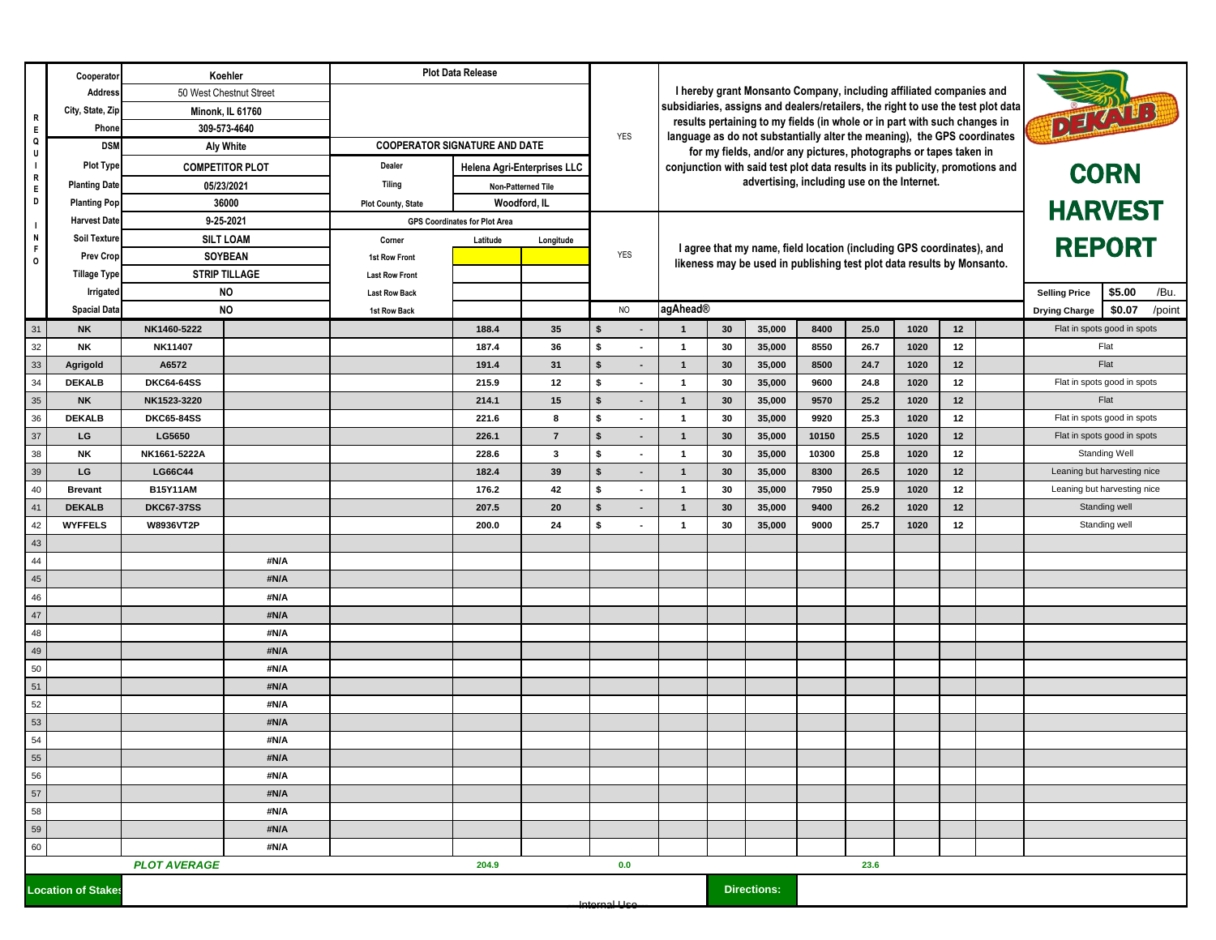|                                                                 | Cooperator                                  | Koehler<br>50 West Chestnut Street                                                                                                                                                  |                         | <b>Plot Data Release</b>             |                                                                                                                                                         |                |                                |                                                                                                                              |                                                                   |                                                                           |       |      |      |    |  |                             |                             |  |
|-----------------------------------------------------------------|---------------------------------------------|-------------------------------------------------------------------------------------------------------------------------------------------------------------------------------------|-------------------------|--------------------------------------|---------------------------------------------------------------------------------------------------------------------------------------------------------|----------------|--------------------------------|------------------------------------------------------------------------------------------------------------------------------|-------------------------------------------------------------------|---------------------------------------------------------------------------|-------|------|------|----|--|-----------------------------|-----------------------------|--|
|                                                                 | Address                                     |                                                                                                                                                                                     |                         |                                      | I hereby grant Monsanto Company, including affiliated companies and<br>subsidiaries, assigns and dealers/retailers, the right to use the test plot data |                |                                |                                                                                                                              |                                                                   |                                                                           |       |      |      |    |  |                             |                             |  |
| R                                                               | City, State, Zip                            |                                                                                                                                                                                     | <b>Minonk, IL 61760</b> |                                      |                                                                                                                                                         |                |                                |                                                                                                                              |                                                                   | results pertaining to my fields (in whole or in part with such changes in |       |      |      |    |  |                             | DEAVED                      |  |
| E<br>Q                                                          |                                             | 309-573-4640<br>Phone                                                                                                                                                               |                         |                                      |                                                                                                                                                         |                | YES                            |                                                                                                                              |                                                                   | language as do not substantially alter the meaning), the GPS coordinates  |       |      |      |    |  |                             |                             |  |
| U                                                               | <b>DSM</b>                                  | Aly White                                                                                                                                                                           |                         | <b>COOPERATOR SIGNATURE AND DATE</b> |                                                                                                                                                         |                |                                |                                                                                                                              | for my fields, and/or any pictures, photographs or tapes taken in |                                                                           |       |      |      |    |  |                             |                             |  |
| $\mathbf{I}$<br>R                                               | <b>Plot Type</b>                            |                                                                                                                                                                                     | <b>COMPETITOR PLOT</b>  | Dealer                               | Helena Agri-Enterprises LLC                                                                                                                             |                |                                | conjunction with said test plot data results in its publicity, promotions and<br>advertising, including use on the Internet. |                                                                   |                                                                           |       |      |      |    |  |                             | <b>CORN</b>                 |  |
| E.                                                              | <b>Planting Date</b>                        | 05/23/2021<br>36000<br>9-25-2021<br><b>Harvest Date</b><br>Soil Texture<br><b>SILT LOAM</b><br><b>SOYBEAN</b><br><b>Prev Crop</b><br><b>STRIP TILLAGE</b><br><b>NO</b><br>Irrigated |                         | <b>Tiling</b>                        | Non-Patterned Tile                                                                                                                                      |                |                                |                                                                                                                              |                                                                   |                                                                           |       |      |      |    |  |                             |                             |  |
| D                                                               | <b>Planting Pop</b>                         |                                                                                                                                                                                     |                         | <b>Plot County, State</b>            | Woodford, IL<br><b>GPS Coordinates for Plot Area</b>                                                                                                    |                |                                |                                                                                                                              |                                                                   |                                                                           |       |      |      |    |  |                             | <b>HARVEST</b>              |  |
| $\overline{1}$<br>N                                             |                                             |                                                                                                                                                                                     |                         |                                      | Longitude                                                                                                                                               |                |                                |                                                                                                                              |                                                                   |                                                                           |       |      |      |    |  |                             |                             |  |
| F.                                                              |                                             |                                                                                                                                                                                     |                         | Corner<br>1st Row Front              | Latitude                                                                                                                                                |                | YES                            | I agree that my name, field location (including GPS coordinates), and                                                        |                                                                   |                                                                           |       |      |      |    |  | <b>REPORT</b>               |                             |  |
| 0                                                               | <b>Tillage Type</b>                         |                                                                                                                                                                                     |                         | <b>Last Row Front</b>                |                                                                                                                                                         |                |                                |                                                                                                                              |                                                                   | likeness may be used in publishing test plot data results by Monsanto.    |       |      |      |    |  |                             |                             |  |
|                                                                 |                                             |                                                                                                                                                                                     |                         | <b>Last Row Back</b>                 |                                                                                                                                                         |                |                                |                                                                                                                              |                                                                   |                                                                           |       |      |      |    |  | <b>Selling Price</b>        | \$5.00<br>/Bu.              |  |
|                                                                 | <b>Spacial Data</b>                         |                                                                                                                                                                                     | <b>NO</b>               | 1st Row Back                         |                                                                                                                                                         |                | <b>NO</b>                      | agAhead®                                                                                                                     |                                                                   |                                                                           |       |      |      |    |  | <b>Drying Charge</b>        | \$0.07<br>/point            |  |
| 31                                                              | <b>NK</b>                                   | NK1460-5222                                                                                                                                                                         |                         |                                      | 188.4                                                                                                                                                   | 35             | \$                             | $\mathbf{1}$                                                                                                                 | 30                                                                | 35,000                                                                    | 8400  | 25.0 | 1020 | 12 |  |                             | Flat in spots good in spots |  |
| 32                                                              | NΚ                                          | NK11407                                                                                                                                                                             |                         |                                      | 187.4                                                                                                                                                   | 36             | \$                             | $\overline{1}$                                                                                                               | 30                                                                | 35,000                                                                    | 8550  | 26.7 | 1020 | 12 |  |                             | Flat                        |  |
| 33                                                              | Agrigold                                    | A6572                                                                                                                                                                               |                         |                                      | 191.4                                                                                                                                                   | 31             | \$<br>$\overline{\phantom{a}}$ | $\mathbf{1}$                                                                                                                 | 30                                                                | 35,000                                                                    | 8500  | 24.7 | 1020 | 12 |  | Flat                        |                             |  |
| 34                                                              | <b>DEKALB</b>                               | <b>DKC64-64SS</b>                                                                                                                                                                   |                         |                                      | 215.9                                                                                                                                                   | 12             | \$                             | $\mathbf{1}$                                                                                                                 | 30                                                                | 35,000                                                                    | 9600  | 24.8 | 1020 | 12 |  | Flat in spots good in spots |                             |  |
| 35                                                              | <b>NK</b>                                   | NK1523-3220                                                                                                                                                                         |                         |                                      | 214.1                                                                                                                                                   | 15             | \$                             | $\mathbf{1}$                                                                                                                 | 30                                                                | 35,000                                                                    | 9570  | 25.2 | 1020 | 12 |  | Flat                        |                             |  |
| 36                                                              | <b>DEKALB</b>                               | <b>DKC65-84SS</b>                                                                                                                                                                   |                         |                                      | 221.6                                                                                                                                                   | 8              | \$                             | $\overline{1}$                                                                                                               | 30                                                                | 35,000                                                                    | 9920  | 25.3 | 1020 | 12 |  | Flat in spots good in spots |                             |  |
| 37                                                              | LG                                          | LG5650                                                                                                                                                                              |                         |                                      | 226.1                                                                                                                                                   | $\overline{7}$ | \$                             | $\mathbf{1}$                                                                                                                 | 30                                                                | 35,000                                                                    | 10150 | 25.5 | 1020 | 12 |  | Flat in spots good in spots |                             |  |
| 38                                                              | NΚ                                          | NK1661-5222A                                                                                                                                                                        |                         |                                      | 228.6                                                                                                                                                   | $\mathbf{3}$   | \$                             | $\overline{1}$                                                                                                               | 30                                                                | 35,000                                                                    | 10300 | 25.8 | 1020 | 12 |  |                             | <b>Standing Well</b>        |  |
| 39                                                              | LG                                          | LG66C44                                                                                                                                                                             |                         |                                      | 182.4                                                                                                                                                   | 39             | s.                             | $\mathbf{1}$                                                                                                                 | 30                                                                | 35,000                                                                    | 8300  | 26.5 | 1020 | 12 |  | Leaning but harvesting nice |                             |  |
| 40                                                              | <b>Brevant</b>                              | <b>B15Y11AM</b>                                                                                                                                                                     |                         |                                      | 176.2                                                                                                                                                   | 42             | \$                             | $\overline{\mathbf{1}}$                                                                                                      | 30                                                                | 35,000                                                                    | 7950  | 25.9 | 1020 | 12 |  | Leaning but harvesting nice |                             |  |
| 41                                                              | <b>DEKALB</b>                               | <b>DKC67-37SS</b>                                                                                                                                                                   |                         |                                      | 207.5                                                                                                                                                   | 20             | $\mathbf{s}$                   | $\mathbf{1}$                                                                                                                 | 30                                                                | 35,000                                                                    | 9400  | 26.2 | 1020 | 12 |  | Standing well               |                             |  |
| 42                                                              | <b>WYFFELS</b>                              | W8936VT2P                                                                                                                                                                           |                         |                                      | 200.0                                                                                                                                                   | 24             | s.                             | $\overline{1}$                                                                                                               | 30                                                                | 35,000                                                                    | 9000  | 25.7 | 1020 | 12 |  | Standing well               |                             |  |
| 43<br>44                                                        |                                             |                                                                                                                                                                                     | #N/A                    |                                      |                                                                                                                                                         |                |                                |                                                                                                                              |                                                                   |                                                                           |       |      |      |    |  |                             |                             |  |
| 45                                                              |                                             |                                                                                                                                                                                     | #N/A                    |                                      |                                                                                                                                                         |                |                                |                                                                                                                              |                                                                   |                                                                           |       |      |      |    |  |                             |                             |  |
| 46                                                              |                                             |                                                                                                                                                                                     | #N/A                    |                                      |                                                                                                                                                         |                |                                |                                                                                                                              |                                                                   |                                                                           |       |      |      |    |  |                             |                             |  |
| 47                                                              |                                             |                                                                                                                                                                                     | #N/A                    |                                      |                                                                                                                                                         |                |                                |                                                                                                                              |                                                                   |                                                                           |       |      |      |    |  |                             |                             |  |
| 48                                                              |                                             |                                                                                                                                                                                     | #N/A                    |                                      |                                                                                                                                                         |                |                                |                                                                                                                              |                                                                   |                                                                           |       |      |      |    |  |                             |                             |  |
| 49                                                              |                                             |                                                                                                                                                                                     | #N/A                    |                                      |                                                                                                                                                         |                |                                |                                                                                                                              |                                                                   |                                                                           |       |      |      |    |  |                             |                             |  |
| 50                                                              |                                             |                                                                                                                                                                                     | #N/A                    |                                      |                                                                                                                                                         |                |                                |                                                                                                                              |                                                                   |                                                                           |       |      |      |    |  |                             |                             |  |
| 51                                                              |                                             |                                                                                                                                                                                     | #N/A                    |                                      |                                                                                                                                                         |                |                                |                                                                                                                              |                                                                   |                                                                           |       |      |      |    |  |                             |                             |  |
| 52                                                              |                                             |                                                                                                                                                                                     | #N/A                    |                                      |                                                                                                                                                         |                |                                |                                                                                                                              |                                                                   |                                                                           |       |      |      |    |  |                             |                             |  |
| 53                                                              |                                             |                                                                                                                                                                                     | #N/A                    |                                      |                                                                                                                                                         |                |                                |                                                                                                                              |                                                                   |                                                                           |       |      |      |    |  |                             |                             |  |
| 54                                                              |                                             |                                                                                                                                                                                     | #N/A                    |                                      |                                                                                                                                                         |                |                                |                                                                                                                              |                                                                   |                                                                           |       |      |      |    |  |                             |                             |  |
| 55                                                              |                                             |                                                                                                                                                                                     | #N/A                    |                                      |                                                                                                                                                         |                |                                |                                                                                                                              |                                                                   |                                                                           |       |      |      |    |  |                             |                             |  |
| 56                                                              |                                             |                                                                                                                                                                                     | #N/A                    |                                      |                                                                                                                                                         |                |                                |                                                                                                                              |                                                                   |                                                                           |       |      |      |    |  |                             |                             |  |
| 57                                                              |                                             |                                                                                                                                                                                     | #N/A                    |                                      |                                                                                                                                                         |                |                                |                                                                                                                              |                                                                   |                                                                           |       |      |      |    |  |                             |                             |  |
| 58<br>59                                                        |                                             |                                                                                                                                                                                     | #N/A<br>#N/A            |                                      |                                                                                                                                                         |                |                                |                                                                                                                              |                                                                   |                                                                           |       |      |      |    |  |                             |                             |  |
| 60                                                              |                                             |                                                                                                                                                                                     | #N/A                    |                                      |                                                                                                                                                         |                |                                |                                                                                                                              |                                                                   |                                                                           |       |      |      |    |  |                             |                             |  |
|                                                                 | <b>PLOT AVERAGE</b><br>204.9<br>0.0<br>23.6 |                                                                                                                                                                                     |                         |                                      |                                                                                                                                                         |                |                                |                                                                                                                              |                                                                   |                                                                           |       |      |      |    |  |                             |                             |  |
|                                                                 |                                             |                                                                                                                                                                                     |                         |                                      |                                                                                                                                                         |                |                                |                                                                                                                              |                                                                   |                                                                           |       |      |      |    |  |                             |                             |  |
| <b>Directions:</b><br><b>Location of Stakes</b><br>Internal Lie |                                             |                                                                                                                                                                                     |                         |                                      |                                                                                                                                                         |                |                                |                                                                                                                              |                                                                   |                                                                           |       |      |      |    |  |                             |                             |  |